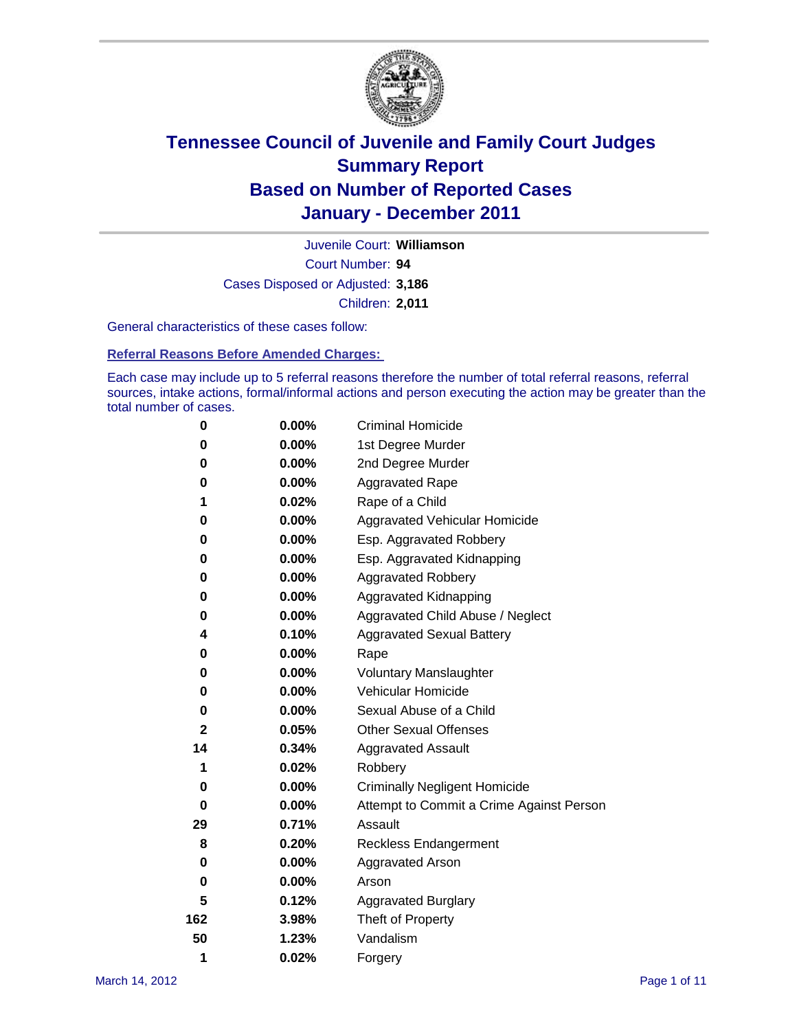

Court Number: **94** Juvenile Court: **Williamson** Cases Disposed or Adjusted: **3,186** Children: **2,011**

General characteristics of these cases follow:

**Referral Reasons Before Amended Charges:** 

Each case may include up to 5 referral reasons therefore the number of total referral reasons, referral sources, intake actions, formal/informal actions and person executing the action may be greater than the total number of cases.

| 0            | $0.00\%$ | <b>Criminal Homicide</b>                 |  |  |  |
|--------------|----------|------------------------------------------|--|--|--|
| 0            | 0.00%    | 1st Degree Murder                        |  |  |  |
| 0            | $0.00\%$ | 2nd Degree Murder                        |  |  |  |
| 0            | 0.00%    | <b>Aggravated Rape</b>                   |  |  |  |
| 1            | 0.02%    | Rape of a Child                          |  |  |  |
| 0            | 0.00%    | Aggravated Vehicular Homicide            |  |  |  |
| 0            | 0.00%    | Esp. Aggravated Robbery                  |  |  |  |
| 0            | $0.00\%$ | Esp. Aggravated Kidnapping               |  |  |  |
| 0            | $0.00\%$ | <b>Aggravated Robbery</b>                |  |  |  |
| 0            | $0.00\%$ | Aggravated Kidnapping                    |  |  |  |
| 0            | 0.00%    | Aggravated Child Abuse / Neglect         |  |  |  |
| 4            | 0.10%    | <b>Aggravated Sexual Battery</b>         |  |  |  |
| 0            | 0.00%    | Rape                                     |  |  |  |
| 0            | $0.00\%$ | <b>Voluntary Manslaughter</b>            |  |  |  |
| 0            | 0.00%    | Vehicular Homicide                       |  |  |  |
| 0            | $0.00\%$ | Sexual Abuse of a Child                  |  |  |  |
| $\mathbf{2}$ | 0.05%    | <b>Other Sexual Offenses</b>             |  |  |  |
| 14           | 0.34%    | <b>Aggravated Assault</b>                |  |  |  |
| 1            | 0.02%    | Robbery                                  |  |  |  |
| 0            | 0.00%    | <b>Criminally Negligent Homicide</b>     |  |  |  |
| 0            | $0.00\%$ | Attempt to Commit a Crime Against Person |  |  |  |
| 29           | 0.71%    | Assault                                  |  |  |  |
| 8            | 0.20%    | <b>Reckless Endangerment</b>             |  |  |  |
| 0            | 0.00%    | <b>Aggravated Arson</b>                  |  |  |  |
| 0            | 0.00%    | Arson                                    |  |  |  |
| 5            | 0.12%    | <b>Aggravated Burglary</b>               |  |  |  |
| 162          | 3.98%    | Theft of Property                        |  |  |  |
| 50           | 1.23%    | Vandalism                                |  |  |  |
| 1            | 0.02%    | Forgery                                  |  |  |  |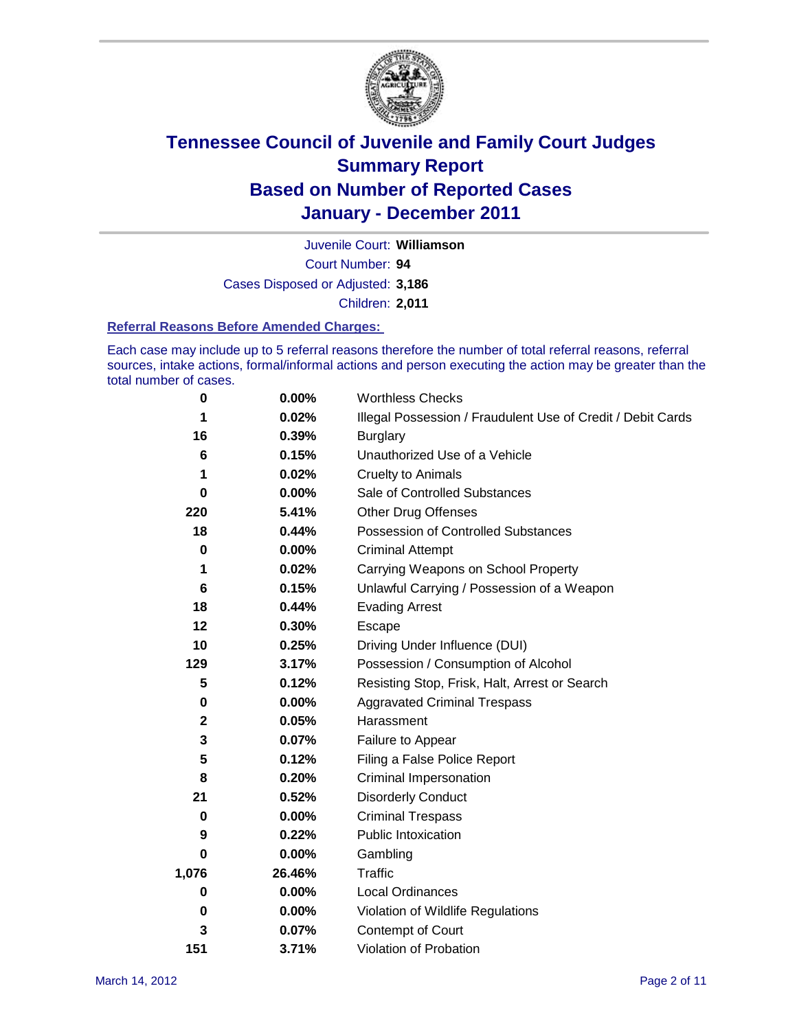

Court Number: **94** Juvenile Court: **Williamson** Cases Disposed or Adjusted: **3,186**

Children: **2,011**

#### **Referral Reasons Before Amended Charges:**

Each case may include up to 5 referral reasons therefore the number of total referral reasons, referral sources, intake actions, formal/informal actions and person executing the action may be greater than the total number of cases.

| 0     | 0.00%    | <b>Worthless Checks</b>                                     |
|-------|----------|-------------------------------------------------------------|
| 1     | 0.02%    | Illegal Possession / Fraudulent Use of Credit / Debit Cards |
| 16    | 0.39%    | <b>Burglary</b>                                             |
| 6     | 0.15%    | Unauthorized Use of a Vehicle                               |
| 1     | 0.02%    | <b>Cruelty to Animals</b>                                   |
| 0     | $0.00\%$ | Sale of Controlled Substances                               |
| 220   | 5.41%    | <b>Other Drug Offenses</b>                                  |
| 18    | 0.44%    | Possession of Controlled Substances                         |
| 0     | $0.00\%$ | <b>Criminal Attempt</b>                                     |
| 1     | 0.02%    | Carrying Weapons on School Property                         |
| 6     | 0.15%    | Unlawful Carrying / Possession of a Weapon                  |
| 18    | 0.44%    | <b>Evading Arrest</b>                                       |
| 12    | 0.30%    | Escape                                                      |
| 10    | 0.25%    | Driving Under Influence (DUI)                               |
| 129   | 3.17%    | Possession / Consumption of Alcohol                         |
| 5     | 0.12%    | Resisting Stop, Frisk, Halt, Arrest or Search               |
| 0     | $0.00\%$ | <b>Aggravated Criminal Trespass</b>                         |
| 2     | 0.05%    | Harassment                                                  |
| 3     | 0.07%    | Failure to Appear                                           |
| 5     | 0.12%    | Filing a False Police Report                                |
| 8     | 0.20%    | Criminal Impersonation                                      |
| 21    | 0.52%    | <b>Disorderly Conduct</b>                                   |
| 0     | 0.00%    | <b>Criminal Trespass</b>                                    |
| 9     | 0.22%    | <b>Public Intoxication</b>                                  |
| 0     | 0.00%    | Gambling                                                    |
| 1,076 | 26.46%   | <b>Traffic</b>                                              |
| 0     | $0.00\%$ | Local Ordinances                                            |
| 0     | 0.00%    | Violation of Wildlife Regulations                           |
| 3     | 0.07%    | Contempt of Court                                           |
| 151   | 3.71%    | Violation of Probation                                      |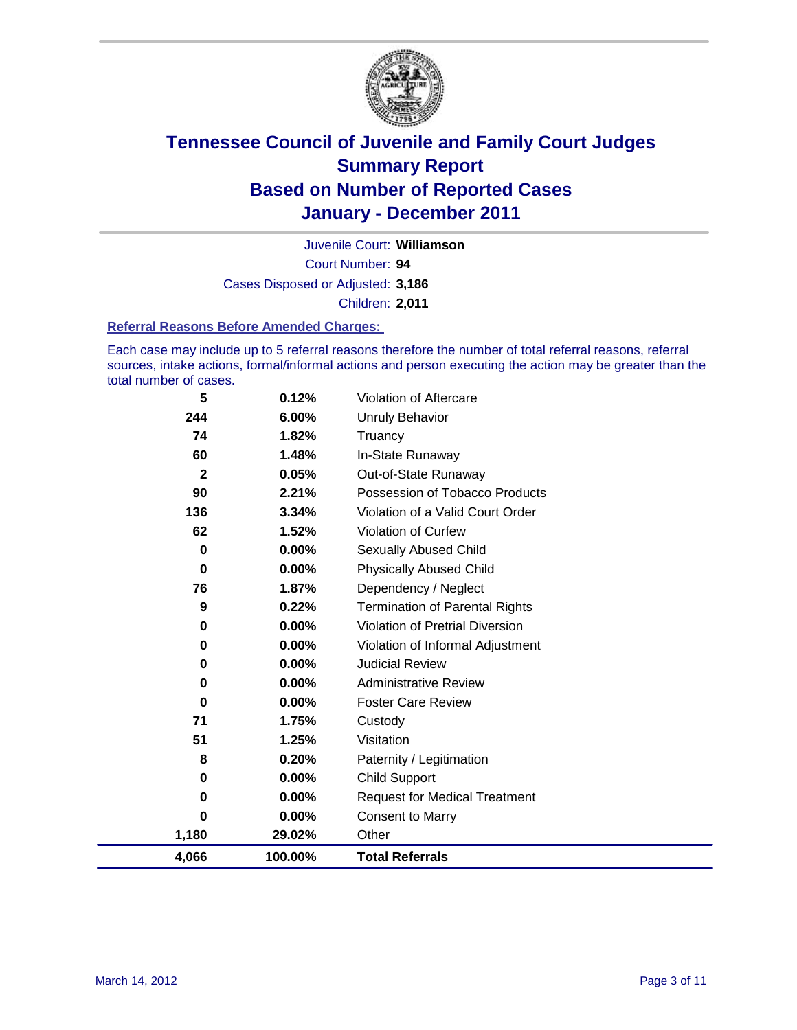

Court Number: **94** Juvenile Court: **Williamson** Cases Disposed or Adjusted: **3,186** Children: **2,011**

#### **Referral Reasons Before Amended Charges:**

Each case may include up to 5 referral reasons therefore the number of total referral reasons, referral sources, intake actions, formal/informal actions and person executing the action may be greater than the total number of cases.

| 4,066              | 100.00%        | <b>Total Referrals</b>                                 |
|--------------------|----------------|--------------------------------------------------------|
| 1,180              | 29.02%         | Other                                                  |
| 0                  | 0.00%          | <b>Consent to Marry</b>                                |
| 0                  | 0.00%          | <b>Request for Medical Treatment</b>                   |
| 0                  | $0.00\%$       | <b>Child Support</b>                                   |
| 8                  | 0.20%          | Paternity / Legitimation                               |
| 51                 | 1.25%          | Visitation                                             |
| 71                 | 1.75%          | Custody                                                |
| 0                  | $0.00\%$       | <b>Foster Care Review</b>                              |
| 0                  | $0.00\%$       | <b>Administrative Review</b>                           |
| 0                  | 0.00%          | <b>Judicial Review</b>                                 |
| 0                  | $0.00\%$       | Violation of Informal Adjustment                       |
| 0                  | $0.00\%$       | <b>Violation of Pretrial Diversion</b>                 |
| 9                  | 0.22%          | <b>Termination of Parental Rights</b>                  |
| 76                 | 1.87%          | Dependency / Neglect                                   |
| 0                  | 0.00%          | <b>Physically Abused Child</b>                         |
| 0                  | 0.00%          | <b>Sexually Abused Child</b>                           |
| 62                 | 1.52%          | Violation of Curfew                                    |
| 136                | 3.34%          | Violation of a Valid Court Order                       |
| 90                 | 0.05%<br>2.21% | Out-of-State Runaway<br>Possession of Tobacco Products |
| 60<br>$\mathbf{2}$ | 1.48%          | In-State Runaway                                       |
| 74                 | 1.82%          | Truancy                                                |
| 244                | 6.00%          | Unruly Behavior                                        |
| 5                  | 0.12%          | Violation of Aftercare                                 |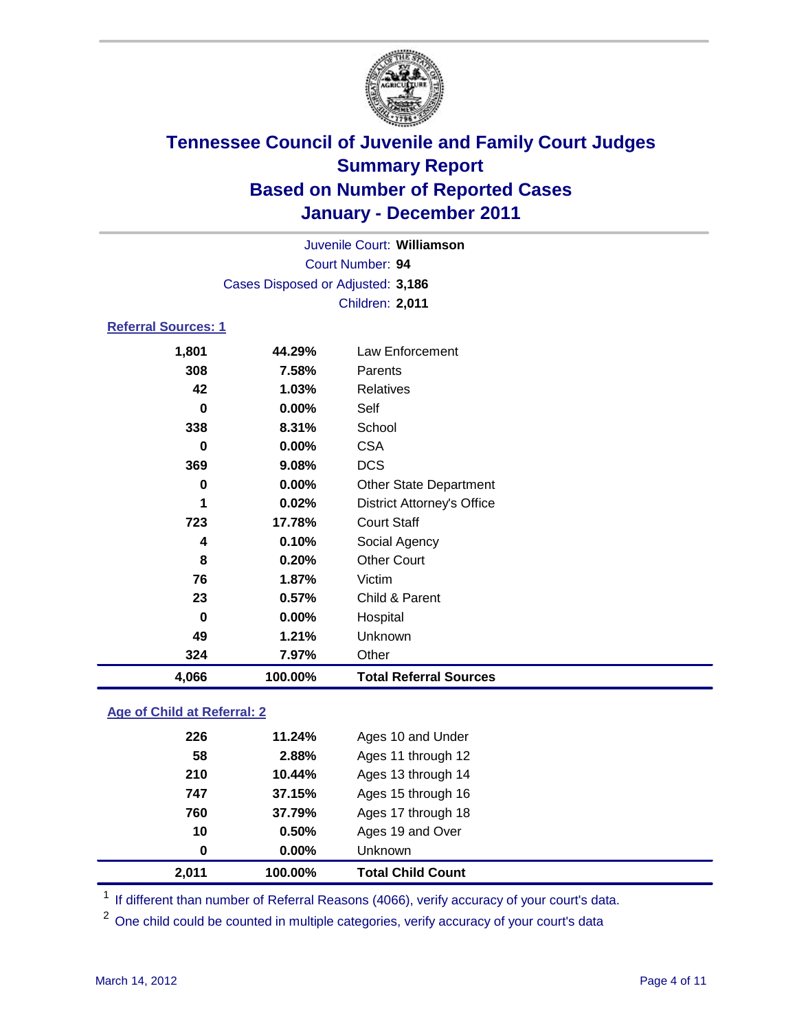

|                            |                                   | Juvenile Court: Williamson        |  |  |  |
|----------------------------|-----------------------------------|-----------------------------------|--|--|--|
| Court Number: 94           |                                   |                                   |  |  |  |
|                            | Cases Disposed or Adjusted: 3,186 |                                   |  |  |  |
|                            |                                   | Children: 2,011                   |  |  |  |
| <b>Referral Sources: 1</b> |                                   |                                   |  |  |  |
| 1,801                      | 44.29%                            | Law Enforcement                   |  |  |  |
| 308                        | 7.58%                             | Parents                           |  |  |  |
| 42                         | 1.03%                             | <b>Relatives</b>                  |  |  |  |
| 0                          | $0.00\%$                          | Self                              |  |  |  |
| 338                        | 8.31%                             | School                            |  |  |  |
| 0                          | $0.00\%$                          | <b>CSA</b>                        |  |  |  |
| 369                        | 9.08%                             | <b>DCS</b>                        |  |  |  |
| 0                          | $0.00\%$                          | <b>Other State Department</b>     |  |  |  |
| 1                          | 0.02%                             | <b>District Attorney's Office</b> |  |  |  |
| 723                        | 17.78%                            | <b>Court Staff</b>                |  |  |  |
| 4                          | 0.10%                             | Social Agency                     |  |  |  |
| 8                          | 0.20%                             | <b>Other Court</b>                |  |  |  |
| 76                         | 1.87%                             | Victim                            |  |  |  |
| 23                         | 0.57%                             | Child & Parent                    |  |  |  |
| 0                          | $0.00\%$                          | Hospital                          |  |  |  |

### **Age of Child at Referral: 2**

| 2,011 | 100.00%  | <b>Total Child Count</b> |
|-------|----------|--------------------------|
| 0     | $0.00\%$ | <b>Unknown</b>           |
| 10    | 0.50%    | Ages 19 and Over         |
| 760   | 37.79%   | Ages 17 through 18       |
| 747   | 37.15%   | Ages 15 through 16       |
| 210   | 10.44%   | Ages 13 through 14       |
| 58    | 2.88%    | Ages 11 through 12       |
| 226   | 11.24%   | Ages 10 and Under        |
|       |          |                          |

<sup>1</sup> If different than number of Referral Reasons (4066), verify accuracy of your court's data.

<sup>2</sup> One child could be counted in multiple categories, verify accuracy of your court's data

**49 1.21%** Unknown **324 7.97%** Other

**4,066 100.00% Total Referral Sources**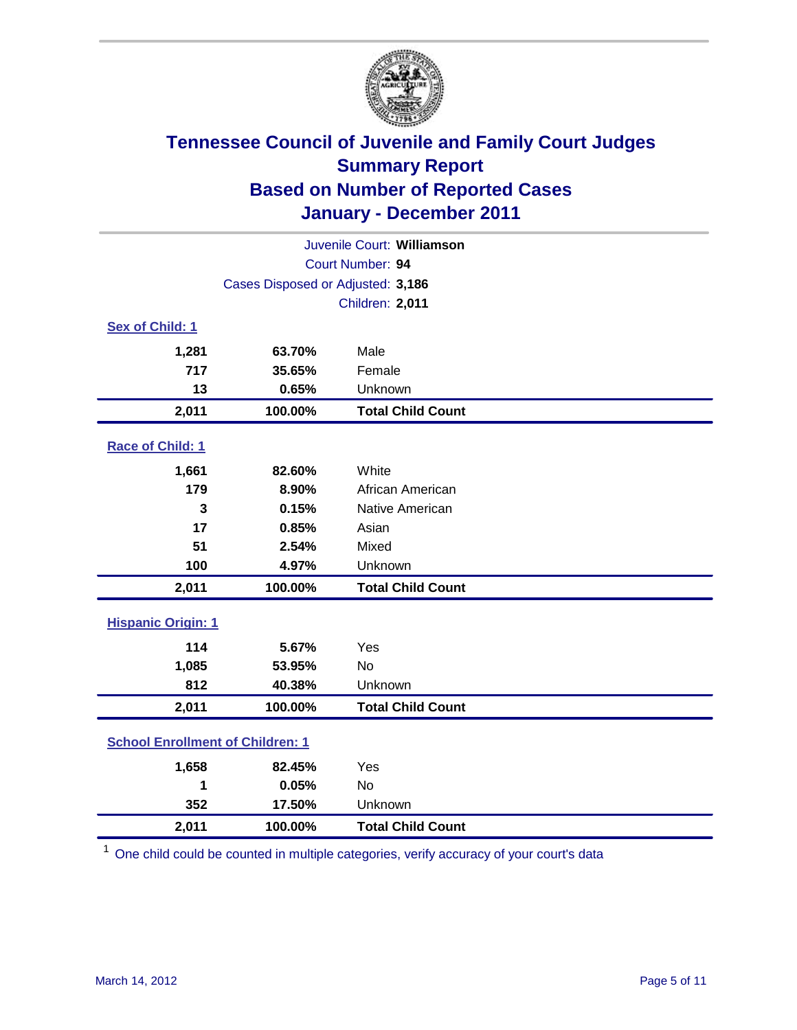

| Juvenile Court: Williamson              |                                   |                          |  |  |
|-----------------------------------------|-----------------------------------|--------------------------|--|--|
| Court Number: 94                        |                                   |                          |  |  |
|                                         | Cases Disposed or Adjusted: 3,186 |                          |  |  |
|                                         |                                   | Children: 2,011          |  |  |
| Sex of Child: 1                         |                                   |                          |  |  |
| 1,281                                   | 63.70%                            | Male                     |  |  |
| 717                                     | 35.65%                            | Female                   |  |  |
| 13                                      | 0.65%                             | Unknown                  |  |  |
| 2,011                                   | 100.00%                           | <b>Total Child Count</b> |  |  |
| Race of Child: 1                        |                                   |                          |  |  |
| 1,661                                   | 82.60%                            | White                    |  |  |
| 179                                     | 8.90%                             | African American         |  |  |
| 3                                       | 0.15%                             | Native American          |  |  |
| 17                                      | 0.85%                             | Asian                    |  |  |
| 51                                      | 2.54%                             | Mixed                    |  |  |
| 100                                     | 4.97%                             | Unknown                  |  |  |
| 2,011                                   | 100.00%                           | <b>Total Child Count</b> |  |  |
| <b>Hispanic Origin: 1</b>               |                                   |                          |  |  |
| 114                                     | 5.67%                             | Yes                      |  |  |
| 1,085                                   | 53.95%                            | <b>No</b>                |  |  |
| 812                                     | 40.38%                            | Unknown                  |  |  |
| 2,011                                   | 100.00%                           | <b>Total Child Count</b> |  |  |
| <b>School Enrollment of Children: 1</b> |                                   |                          |  |  |
| 1,658                                   | 82.45%                            | Yes                      |  |  |
| 1                                       | 0.05%                             | <b>No</b>                |  |  |
| 352                                     | 17.50%                            | Unknown                  |  |  |
| 2,011                                   | 100.00%                           | <b>Total Child Count</b> |  |  |

<sup>1</sup> One child could be counted in multiple categories, verify accuracy of your court's data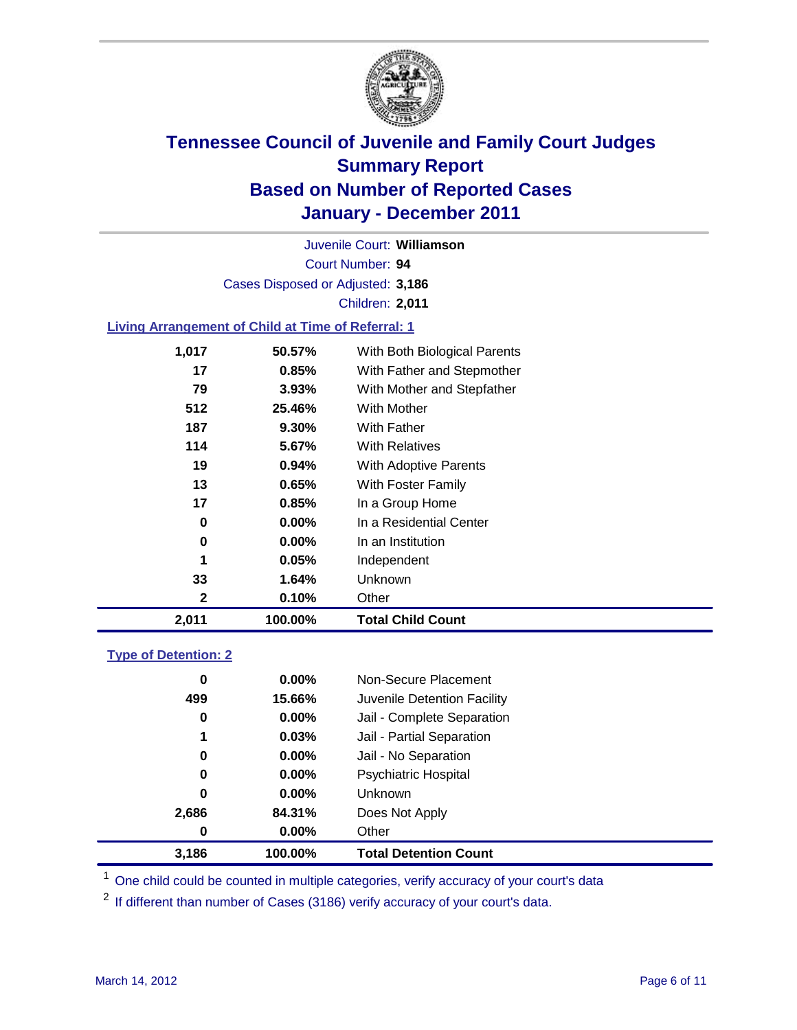

Court Number: **94** Juvenile Court: **Williamson** Cases Disposed or Adjusted: **3,186** Children: **2,011**

#### **Living Arrangement of Child at Time of Referral: 1**

| 2,011 | 100.00%  | <b>Total Child Count</b>     |
|-------|----------|------------------------------|
| 2     | 0.10%    | Other                        |
| 33    | 1.64%    | Unknown                      |
| 1     | 0.05%    | Independent                  |
| 0     | $0.00\%$ | In an Institution            |
| 0     | $0.00\%$ | In a Residential Center      |
| 17    | 0.85%    | In a Group Home              |
| 13    | 0.65%    | With Foster Family           |
| 19    | $0.94\%$ | With Adoptive Parents        |
| 114   | 5.67%    | <b>With Relatives</b>        |
| 187   | $9.30\%$ | <b>With Father</b>           |
| 512   | 25.46%   | <b>With Mother</b>           |
| 79    | 3.93%    | With Mother and Stepfather   |
| 17    | 0.85%    | With Father and Stepmother   |
| 1,017 | 50.57%   | With Both Biological Parents |
|       |          |                              |

#### **Type of Detention: 2**

| 3,186 | 100.00%  | <b>Total Detention Count</b> |
|-------|----------|------------------------------|
| 0     | $0.00\%$ | Other                        |
| 2,686 | 84.31%   | Does Not Apply               |
| 0     | $0.00\%$ | <b>Unknown</b>               |
| 0     | 0.00%    | <b>Psychiatric Hospital</b>  |
| 0     | 0.00%    | Jail - No Separation         |
| 1     | 0.03%    | Jail - Partial Separation    |
| 0     | 0.00%    | Jail - Complete Separation   |
| 499   | 15.66%   | Juvenile Detention Facility  |
| 0     | $0.00\%$ | Non-Secure Placement         |
|       |          |                              |

<sup>1</sup> One child could be counted in multiple categories, verify accuracy of your court's data

<sup>2</sup> If different than number of Cases (3186) verify accuracy of your court's data.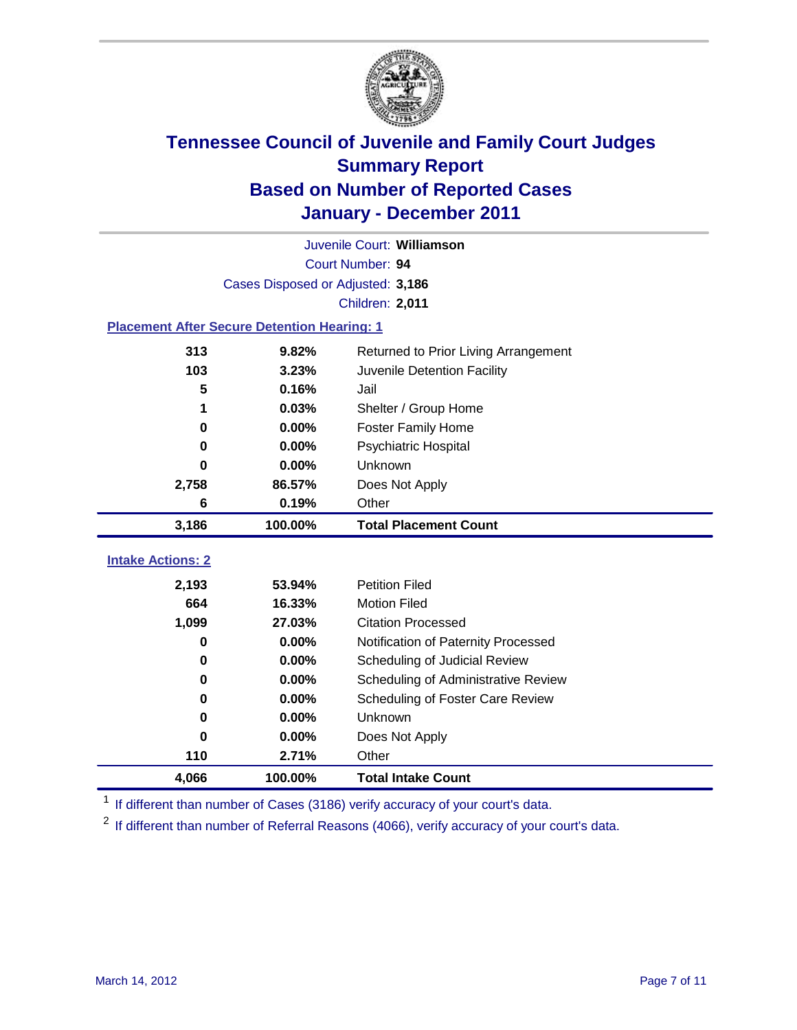

| Juvenile Court: Williamson                         |                                   |                                             |  |  |
|----------------------------------------------------|-----------------------------------|---------------------------------------------|--|--|
|                                                    | Court Number: 94                  |                                             |  |  |
|                                                    | Cases Disposed or Adjusted: 3,186 |                                             |  |  |
|                                                    |                                   | Children: 2,011                             |  |  |
| <b>Placement After Secure Detention Hearing: 1</b> |                                   |                                             |  |  |
| 313                                                | 9.82%                             | Returned to Prior Living Arrangement        |  |  |
| 103                                                | 3.23%                             | Juvenile Detention Facility                 |  |  |
| 5                                                  | 0.16%                             | Jail                                        |  |  |
| 1                                                  | 0.03%                             | Shelter / Group Home                        |  |  |
| 0                                                  | 0.00%                             | <b>Foster Family Home</b>                   |  |  |
| $\bf{0}$                                           | 0.00%                             | Psychiatric Hospital                        |  |  |
| 0                                                  | 0.00%                             | Unknown                                     |  |  |
| 2,758                                              | 86.57%                            | Does Not Apply                              |  |  |
| 6                                                  | 0.19%                             | Other                                       |  |  |
| 3,186                                              | 100.00%                           | <b>Total Placement Count</b>                |  |  |
| <b>Intake Actions: 2</b>                           |                                   |                                             |  |  |
|                                                    |                                   | <b>Petition Filed</b>                       |  |  |
| 2,193<br>664                                       | 53.94%<br>16.33%                  | <b>Motion Filed</b>                         |  |  |
|                                                    | 27.03%                            | <b>Citation Processed</b>                   |  |  |
| 1,099<br>0                                         | 0.00%                             |                                             |  |  |
|                                                    | 0.00%                             | Notification of Paternity Processed         |  |  |
| $\mathbf 0$<br>0                                   |                                   | Scheduling of Judicial Review               |  |  |
|                                                    | 0.00%                             | Scheduling of Administrative Review         |  |  |
| 0<br>$\bf{0}$                                      | 0.00%<br>0.00%                    | Scheduling of Foster Care Review<br>Unknown |  |  |
|                                                    |                                   |                                             |  |  |
| 0                                                  | $0.00\%$                          | Does Not Apply                              |  |  |
| 110                                                | 2.71%                             | Other                                       |  |  |
| 4,066                                              | 100.00%                           | <b>Total Intake Count</b>                   |  |  |

<sup>1</sup> If different than number of Cases (3186) verify accuracy of your court's data.

<sup>2</sup> If different than number of Referral Reasons (4066), verify accuracy of your court's data.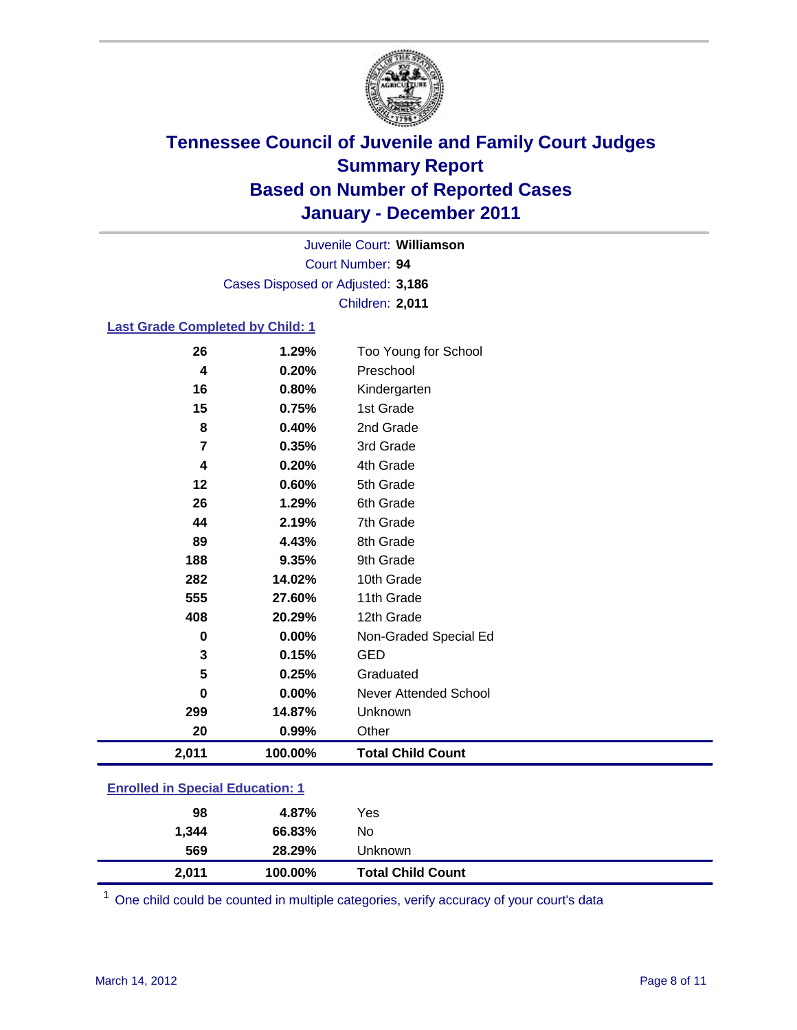

Court Number: **94** Juvenile Court: **Williamson** Cases Disposed or Adjusted: **3,186** Children: **2,011**

#### **Last Grade Completed by Child: 1**

| 2,011    | 100.00% | <b>Total Child Count</b>     |
|----------|---------|------------------------------|
| 20       | 0.99%   | Other                        |
| 299      | 14.87%  | Unknown                      |
| 0        | 0.00%   | <b>Never Attended School</b> |
| 5        | 0.25%   | Graduated                    |
| 3        | 0.15%   | <b>GED</b>                   |
| $\bf{0}$ | 0.00%   | Non-Graded Special Ed        |
| 408      | 20.29%  | 12th Grade                   |
| 555      | 27.60%  | 11th Grade                   |
| 282      | 14.02%  | 10th Grade                   |
| 188      | 9.35%   | 9th Grade                    |
| 89       | 4.43%   | 8th Grade                    |
| 44       | 2.19%   | 7th Grade                    |
| 26       | 1.29%   | 6th Grade                    |
| 12       | 0.60%   | 5th Grade                    |
| 4        | 0.20%   | 4th Grade                    |
| 7        | 0.35%   | 3rd Grade                    |
| 8        | 0.40%   | 2nd Grade                    |
| 15       | 0.75%   | 1st Grade                    |
| 16       | 0.80%   | Kindergarten                 |
| 4        | 0.20%   | Preschool                    |
| 26       | 1.29%   | Too Young for School         |

#### **Enrolled in Special Education: 1**

| 98    | 4.87%   | Yes                      |
|-------|---------|--------------------------|
| 1,344 | 66.83%  | No                       |
| 569   | 28.29%  | Unknown                  |
| 2,011 | 100.00% | <b>Total Child Count</b> |

One child could be counted in multiple categories, verify accuracy of your court's data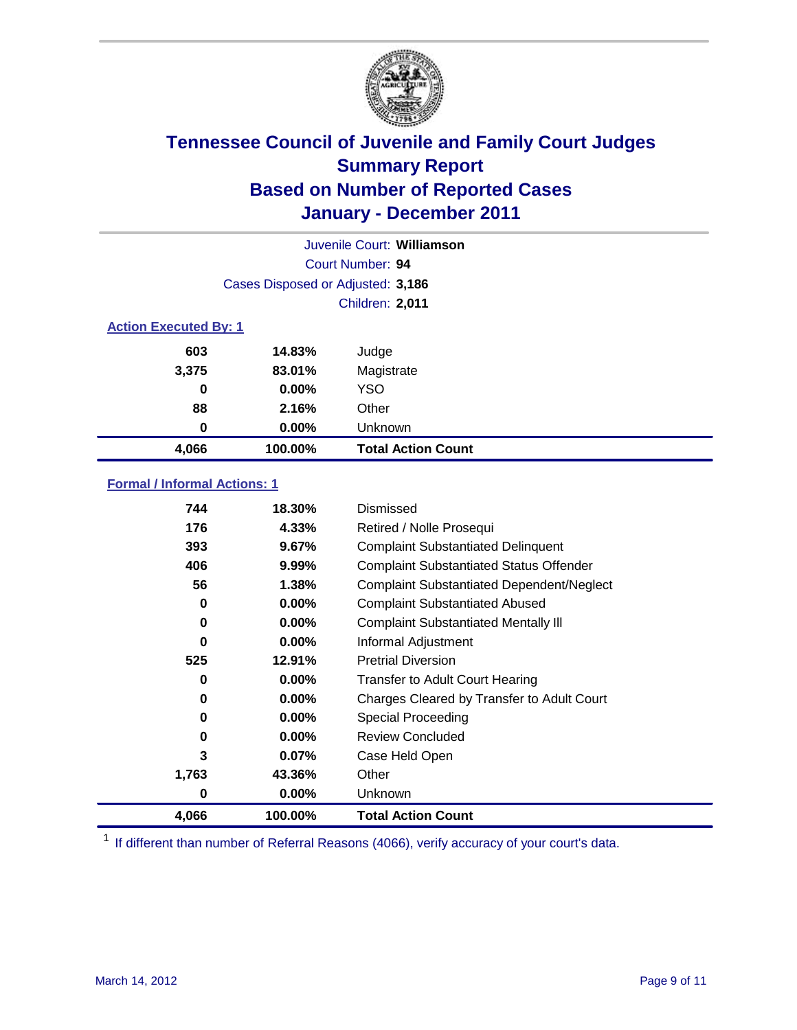

|       | Juvenile Court: Williamson        |                           |  |  |
|-------|-----------------------------------|---------------------------|--|--|
|       |                                   | Court Number: 94          |  |  |
|       | Cases Disposed or Adjusted: 3,186 |                           |  |  |
|       |                                   | <b>Children: 2,011</b>    |  |  |
|       | <b>Action Executed By: 1</b>      |                           |  |  |
| 603   | 14.83%                            | Judge                     |  |  |
| 3,375 | 83.01%                            | Magistrate                |  |  |
| 0     | $0.00\%$                          | <b>YSO</b>                |  |  |
| 88    | 2.16%                             | Other                     |  |  |
| 0     | 0.00%                             | Unknown                   |  |  |
| 4,066 | 100.00%                           | <b>Total Action Count</b> |  |  |

#### **Formal / Informal Actions: 1**

| 744   | 18.30%   | Dismissed                                        |
|-------|----------|--------------------------------------------------|
| 176   | 4.33%    | Retired / Nolle Prosequi                         |
| 393   | 9.67%    | <b>Complaint Substantiated Delinquent</b>        |
| 406   | $9.99\%$ | <b>Complaint Substantiated Status Offender</b>   |
| 56    | 1.38%    | <b>Complaint Substantiated Dependent/Neglect</b> |
| 0     | $0.00\%$ | <b>Complaint Substantiated Abused</b>            |
| 0     | $0.00\%$ | <b>Complaint Substantiated Mentally III</b>      |
| 0     | $0.00\%$ | Informal Adjustment                              |
| 525   | 12.91%   | <b>Pretrial Diversion</b>                        |
| 0     | $0.00\%$ | <b>Transfer to Adult Court Hearing</b>           |
| 0     | $0.00\%$ | Charges Cleared by Transfer to Adult Court       |
| 0     | $0.00\%$ | Special Proceeding                               |
| 0     | $0.00\%$ | <b>Review Concluded</b>                          |
| 3     | $0.07\%$ | Case Held Open                                   |
| 1,763 | 43.36%   | Other                                            |
| 0     | 0.00%    | Unknown                                          |
| 4,066 | 100.00%  | <b>Total Action Count</b>                        |

<sup>1</sup> If different than number of Referral Reasons (4066), verify accuracy of your court's data.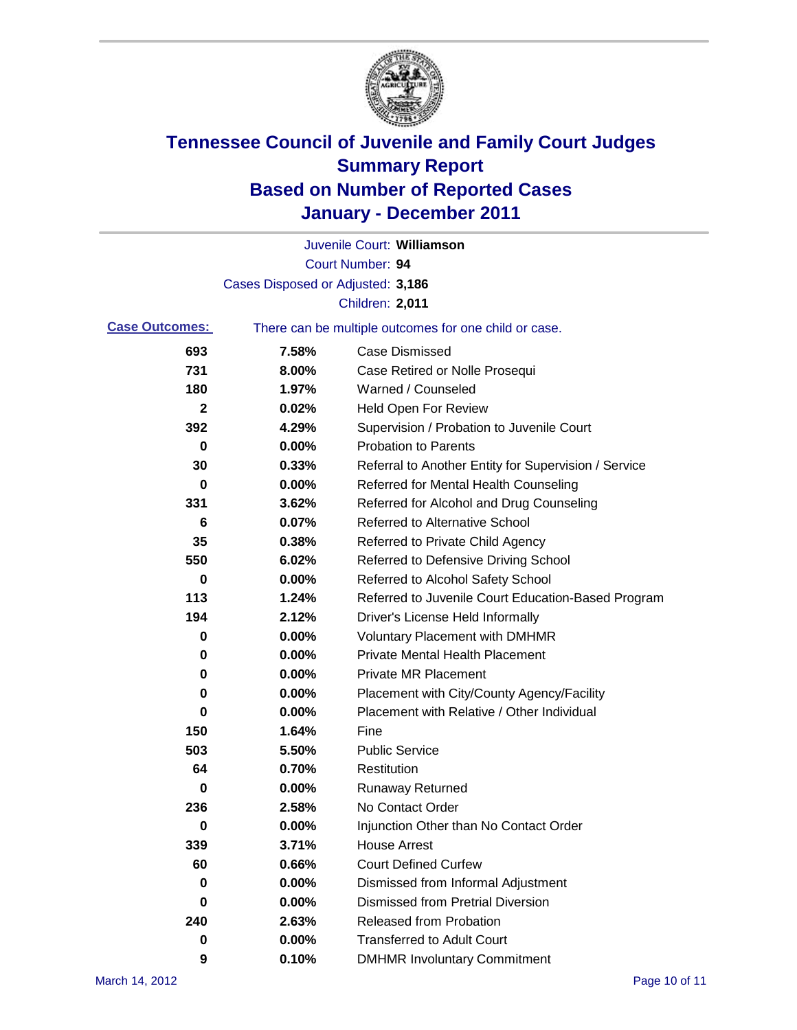

|                       |                                   | Juvenile Court: Williamson                            |
|-----------------------|-----------------------------------|-------------------------------------------------------|
|                       |                                   | Court Number: 94                                      |
|                       | Cases Disposed or Adjusted: 3,186 |                                                       |
|                       |                                   | Children: 2,011                                       |
| <b>Case Outcomes:</b> |                                   | There can be multiple outcomes for one child or case. |
| 693                   | 7.58%                             | <b>Case Dismissed</b>                                 |
| 731                   | 8.00%                             | Case Retired or Nolle Prosequi                        |
| 180                   | 1.97%                             | Warned / Counseled                                    |
| 2                     | 0.02%                             | <b>Held Open For Review</b>                           |
| 392                   | 4.29%                             | Supervision / Probation to Juvenile Court             |
| 0                     | 0.00%                             | <b>Probation to Parents</b>                           |
| 30                    | 0.33%                             | Referral to Another Entity for Supervision / Service  |
| 0                     | 0.00%                             | Referred for Mental Health Counseling                 |
| 331                   | 3.62%                             | Referred for Alcohol and Drug Counseling              |
| 6                     | 0.07%                             | <b>Referred to Alternative School</b>                 |
| 35                    | 0.38%                             | Referred to Private Child Agency                      |
| 550                   | 6.02%                             | Referred to Defensive Driving School                  |
| 0                     | 0.00%                             | Referred to Alcohol Safety School                     |
| 113                   | 1.24%                             | Referred to Juvenile Court Education-Based Program    |
| 194                   | 2.12%                             | Driver's License Held Informally                      |
| 0                     | 0.00%                             | <b>Voluntary Placement with DMHMR</b>                 |
| 0                     | 0.00%                             | <b>Private Mental Health Placement</b>                |
| 0                     | 0.00%                             | <b>Private MR Placement</b>                           |
| 0                     | 0.00%                             | Placement with City/County Agency/Facility            |
| 0                     | 0.00%                             | Placement with Relative / Other Individual            |
| 150                   | 1.64%                             | Fine                                                  |
| 503                   | 5.50%                             | <b>Public Service</b>                                 |
| 64                    | 0.70%                             | Restitution                                           |
| 0                     | 0.00%                             | <b>Runaway Returned</b>                               |
| 236                   | 2.58%                             | No Contact Order                                      |
| $\bf{0}$              | 0.00%                             | Injunction Other than No Contact Order                |
| 339                   | 3.71%                             | <b>House Arrest</b>                                   |
| 60                    | 0.66%                             | <b>Court Defined Curfew</b>                           |
| 0                     | 0.00%                             | Dismissed from Informal Adjustment                    |
| 0                     | 0.00%                             | <b>Dismissed from Pretrial Diversion</b>              |
| 240                   | 2.63%                             | Released from Probation                               |
| 0                     | 0.00%                             | <b>Transferred to Adult Court</b>                     |
| 9                     | 0.10%                             | <b>DMHMR Involuntary Commitment</b>                   |